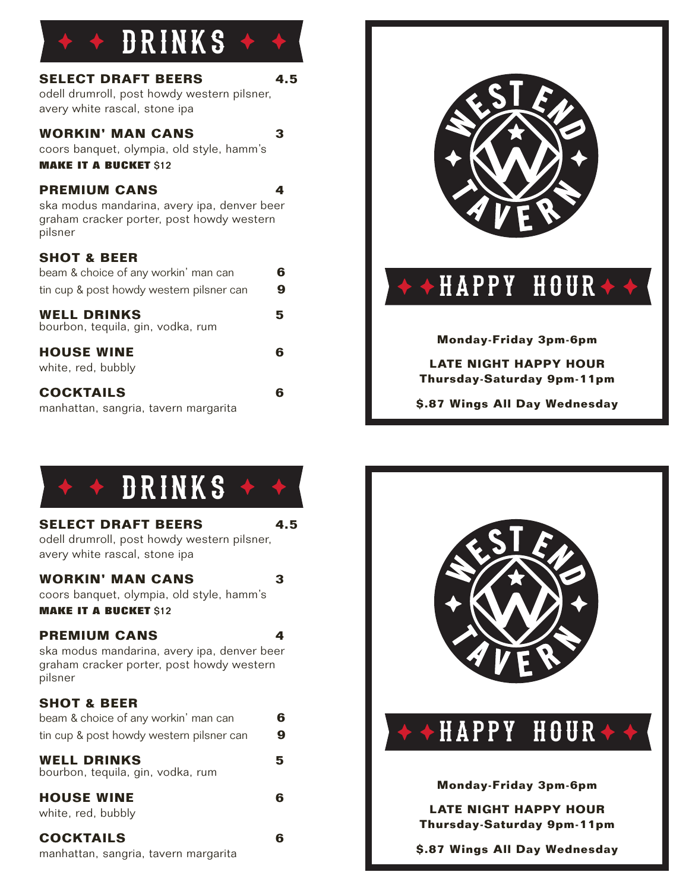| DRINKS                                                                                                                     |        |
|----------------------------------------------------------------------------------------------------------------------------|--------|
| <b>SELECT DRAFT BEERS</b><br>odell drumroll, post howdy western pilsner,<br>avery white rascal, stone ipa                  | 4.5    |
| <b>WORKIN' MAN CANS</b><br>coors banquet, olympia, old style, hamm's<br><b>MAKE IT A BUCKET \$12</b>                       | 3      |
| <b>PREMIUM CANS</b><br>ska modus mandarina, avery ipa, denver beer<br>graham cracker porter, post howdy western<br>pilsner | 4      |
| <b>SHOT &amp; BEER</b><br>beam & choice of any workin' man can<br>tin cup & post howdy western pilsner can                 | 6<br>9 |
| <b>WELL DRINKS</b><br>bourbon, tequila, gin, vodka, rum                                                                    | 5      |
| <b>HOUSE WINE</b><br>white, red, bubbly                                                                                    | 6      |
| <b>COCKTAILS</b><br>manhattan, sangria, tavern margarita                                                                   | 6      |





### **SELECT DRAFT BEERS** 4.5

odell drumroll, post howdy western pilsner, avery white rascal, stone ipa

### **WORKIN' MAN CANS 3**

coors banquet, olympia, old style, hamm's **MAKE IT A BUCKET \$12** 

## **PREMIUM CANS 4**

ska modus mandarina, avery ipa, denver beer graham cracker porter, post howdy western pilsner

## **SHOT & BEER**

| beam & choice of any workin' man can                     | 6 |
|----------------------------------------------------------|---|
| tin cup & post howdy western pilsner can                 | 9 |
| <b>WELL DRINKS</b><br>bourbon, tequila, gin, vodka, rum  | 5 |
| <b>HOUSE WINE</b><br>white, red, bubbly                  |   |
| <b>COCKTAILS</b><br>manhattan, sangria, tavern margarita |   |



# **\$.87 Wings All Day Wednesday**